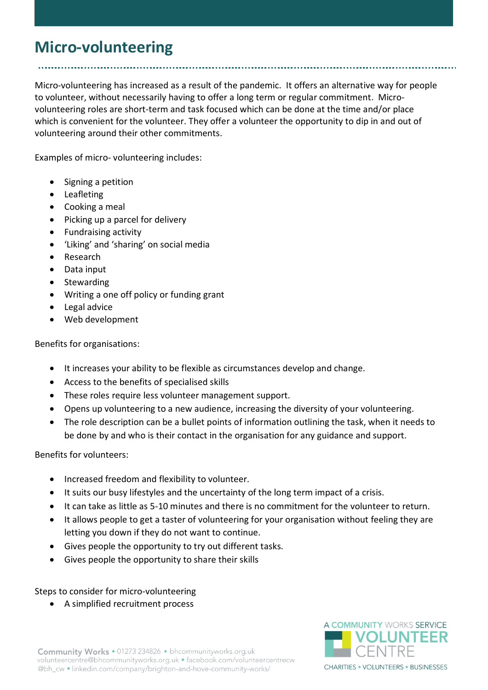## **Micro-volunteering**

Micro-volunteering has increased as a result of the pandemic. It offers an alternative way for people to volunteer, without necessarily having to offer a long term or regular commitment. Microvolunteering roles are short-term and task focused which can be done at the time and/or place which is convenient for the volunteer. They offer a volunteer the opportunity to dip in and out of volunteering around their other commitments.

Examples of micro- volunteering includes:

- Signing a petition
- **•** Leafleting
- Cooking a meal
- Picking up a parcel for delivery
- Fundraising activity
- 'Liking' and 'sharing' on social media
- Research
- Data input
- Stewarding
- Writing a one off policy or funding grant
- Legal advice
- Web development

## Benefits for organisations:

- It increases your ability to be flexible as circumstances develop and change.
- Access to the benefits of specialised skills
- These roles require less volunteer management support.
- Opens up volunteering to a new audience, increasing the diversity of your volunteering.
- The role description can be a bullet points of information outlining the task, when it needs to be done by and who is their contact in the organisation for any guidance and support.

Benefits for volunteers:

- Increased freedom and flexibility to volunteer.
- It suits our busy lifestyles and the uncertainty of the long term impact of a crisis.
- It can take as little as 5-10 minutes and there is no commitment for the volunteer to return.
- It allows people to get a taster of volunteering for your organisation without feeling they are letting you down if they do not want to continue.
- Gives people the opportunity to try out different tasks.
- Gives people the opportunity to share their skills

Steps to consider for micro-volunteering

A simplified recruitment process